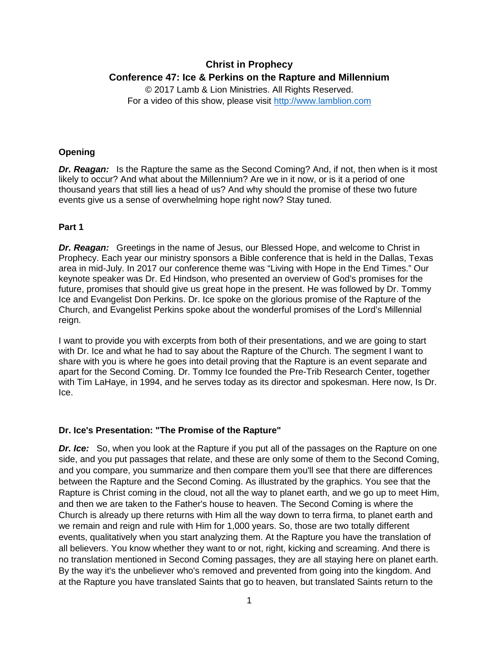# **Christ in Prophecy Conference 47: Ice & Perkins on the Rapture and Millennium**

© 2017 Lamb & Lion Ministries. All Rights Reserved. For a video of this show, please visit [http://www.lamblion.com](http://www.lamblion.com/)

## **Opening**

**Dr. Reagan:** Is the Rapture the same as the Second Coming? And, if not, then when is it most likely to occur? And what about the Millennium? Are we in it now, or is it a period of one thousand years that still lies a head of us? And why should the promise of these two future events give us a sense of overwhelming hope right now? Stay tuned.

# **Part 1**

*Dr. Reagan:* Greetings in the name of Jesus, our Blessed Hope, and welcome to Christ in Prophecy. Each year our ministry sponsors a Bible conference that is held in the Dallas, Texas area in mid-July. In 2017 our conference theme was "Living with Hope in the End Times." Our keynote speaker was Dr. Ed Hindson, who presented an overview of God's promises for the future, promises that should give us great hope in the present. He was followed by Dr. Tommy Ice and Evangelist Don Perkins. Dr. Ice spoke on the glorious promise of the Rapture of the Church, and Evangelist Perkins spoke about the wonderful promises of the Lord's Millennial reign.

I want to provide you with excerpts from both of their presentations, and we are going to start with Dr. Ice and what he had to say about the Rapture of the Church. The segment I want to share with you is where he goes into detail proving that the Rapture is an event separate and apart for the Second Coming. Dr. Tommy Ice founded the Pre-Trib Research Center, together with Tim LaHaye, in 1994, and he serves today as its director and spokesman. Here now, Is Dr. Ice.

## **Dr. Ice's Presentation: "The Promise of the Rapture"**

**Dr. Ice:** So, when you look at the Rapture if you put all of the passages on the Rapture on one side, and you put passages that relate, and these are only some of them to the Second Coming, and you compare, you summarize and then compare them you'll see that there are differences between the Rapture and the Second Coming. As illustrated by the graphics. You see that the Rapture is Christ coming in the cloud, not all the way to planet earth, and we go up to meet Him, and then we are taken to the Father's house to heaven. The Second Coming is where the Church is already up there returns with Him all the way down to terra firma, to planet earth and we remain and reign and rule with Him for 1,000 years. So, those are two totally different events, qualitatively when you start analyzing them. At the Rapture you have the translation of all believers. You know whether they want to or not, right, kicking and screaming. And there is no translation mentioned in Second Coming passages, they are all staying here on planet earth. By the way it's the unbeliever who's removed and prevented from going into the kingdom. And at the Rapture you have translated Saints that go to heaven, but translated Saints return to the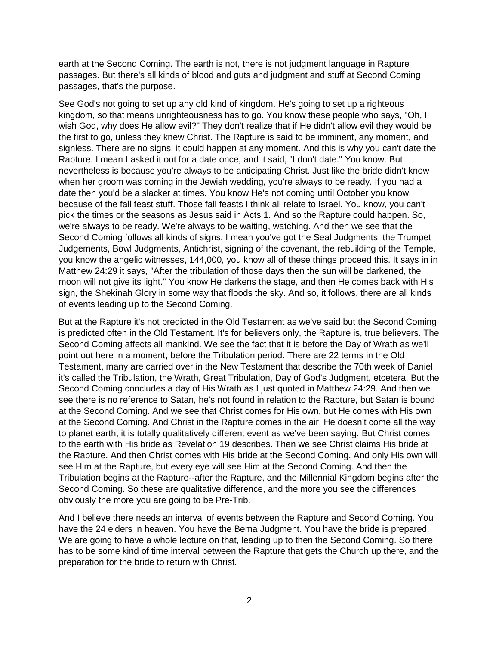earth at the Second Coming. The earth is not, there is not judgment language in Rapture passages. But there's all kinds of blood and guts and judgment and stuff at Second Coming passages, that's the purpose.

See God's not going to set up any old kind of kingdom. He's going to set up a righteous kingdom, so that means unrighteousness has to go. You know these people who says, "Oh, I wish God, why does He allow evil?" They don't realize that if He didn't allow evil they would be the first to go, unless they knew Christ. The Rapture is said to be imminent, any moment, and signless. There are no signs, it could happen at any moment. And this is why you can't date the Rapture. I mean I asked it out for a date once, and it said, "I don't date." You know. But nevertheless is because you're always to be anticipating Christ. Just like the bride didn't know when her groom was coming in the Jewish wedding, you're always to be ready. If you had a date then you'd be a slacker at times. You know He's not coming until October you know, because of the fall feast stuff. Those fall feasts I think all relate to Israel. You know, you can't pick the times or the seasons as Jesus said in Acts 1. And so the Rapture could happen. So, we're always to be ready. We're always to be waiting, watching. And then we see that the Second Coming follows all kinds of signs. I mean you've got the Seal Judgments, the Trumpet Judgements, Bowl Judgments, Antichrist, signing of the covenant, the rebuilding of the Temple, you know the angelic witnesses, 144,000, you know all of these things proceed this. It says in in Matthew 24:29 it says, "After the tribulation of those days then the sun will be darkened, the moon will not give its light." You know He darkens the stage, and then He comes back with His sign, the Shekinah Glory in some way that floods the sky. And so, it follows, there are all kinds of events leading up to the Second Coming.

But at the Rapture it's not predicted in the Old Testament as we've said but the Second Coming is predicted often in the Old Testament. It's for believers only, the Rapture is, true believers. The Second Coming affects all mankind. We see the fact that it is before the Day of Wrath as we'll point out here in a moment, before the Tribulation period. There are 22 terms in the Old Testament, many are carried over in the New Testament that describe the 70th week of Daniel, it's called the Tribulation, the Wrath, Great Tribulation, Day of God's Judgment, etcetera. But the Second Coming concludes a day of His Wrath as I just quoted in Matthew 24:29. And then we see there is no reference to Satan, he's not found in relation to the Rapture, but Satan is bound at the Second Coming. And we see that Christ comes for His own, but He comes with His own at the Second Coming. And Christ in the Rapture comes in the air, He doesn't come all the way to planet earth, it is totally qualitatively different event as we've been saying. But Christ comes to the earth with His bride as Revelation 19 describes. Then we see Christ claims His bride at the Rapture. And then Christ comes with His bride at the Second Coming. And only His own will see Him at the Rapture, but every eye will see Him at the Second Coming. And then the Tribulation begins at the Rapture--after the Rapture, and the Millennial Kingdom begins after the Second Coming. So these are qualitative difference, and the more you see the differences obviously the more you are going to be Pre-Trib.

And I believe there needs an interval of events between the Rapture and Second Coming. You have the 24 elders in heaven. You have the Bema Judgment. You have the bride is prepared. We are going to have a whole lecture on that, leading up to then the Second Coming. So there has to be some kind of time interval between the Rapture that gets the Church up there, and the preparation for the bride to return with Christ.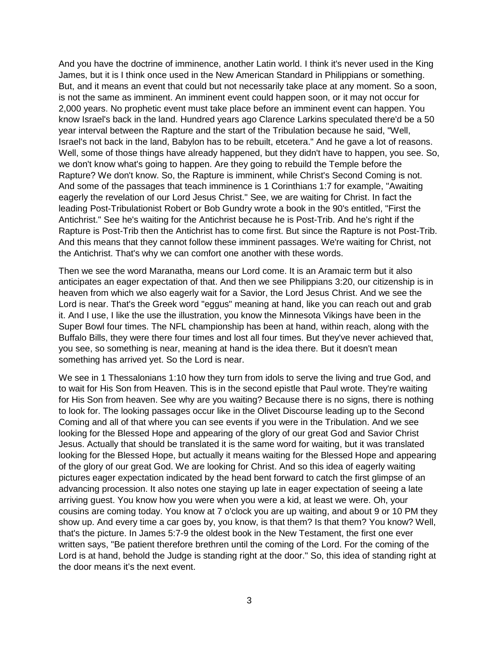And you have the doctrine of imminence, another Latin world. I think it's never used in the King James, but it is I think once used in the New American Standard in Philippians or something. But, and it means an event that could but not necessarily take place at any moment. So a soon, is not the same as imminent. An imminent event could happen soon, or it may not occur for 2,000 years. No prophetic event must take place before an imminent event can happen. You know Israel's back in the land. Hundred years ago Clarence Larkins speculated there'd be a 50 year interval between the Rapture and the start of the Tribulation because he said, "Well, Israel's not back in the land, Babylon has to be rebuilt, etcetera." And he gave a lot of reasons. Well, some of those things have already happened, but they didn't have to happen, you see. So, we don't know what's going to happen. Are they going to rebuild the Temple before the Rapture? We don't know. So, the Rapture is imminent, while Christ's Second Coming is not. And some of the passages that teach imminence is 1 Corinthians 1:7 for example, "Awaiting eagerly the revelation of our Lord Jesus Christ." See, we are waiting for Christ. In fact the leading Post-Tribulationist Robert or Bob Gundry wrote a book in the 90's entitled, "First the Antichrist." See he's waiting for the Antichrist because he is Post-Trib. And he's right if the Rapture is Post-Trib then the Antichrist has to come first. But since the Rapture is not Post-Trib. And this means that they cannot follow these imminent passages. We're waiting for Christ, not the Antichrist. That's why we can comfort one another with these words.

Then we see the word Maranatha, means our Lord come. It is an Aramaic term but it also anticipates an eager expectation of that. And then we see Philippians 3:20, our citizenship is in heaven from which we also eagerly wait for a Savior, the Lord Jesus Christ. And we see the Lord is near. That's the Greek word "eggus" meaning at hand, like you can reach out and grab it. And I use, I like the use the illustration, you know the Minnesota Vikings have been in the Super Bowl four times. The NFL championship has been at hand, within reach, along with the Buffalo Bills, they were there four times and lost all four times. But they've never achieved that, you see, so something is near, meaning at hand is the idea there. But it doesn't mean something has arrived yet. So the Lord is near.

We see in 1 Thessalonians 1:10 how they turn from idols to serve the living and true God, and to wait for His Son from Heaven. This is in the second epistle that Paul wrote. They're waiting for His Son from heaven. See why are you waiting? Because there is no signs, there is nothing to look for. The looking passages occur like in the Olivet Discourse leading up to the Second Coming and all of that where you can see events if you were in the Tribulation. And we see looking for the Blessed Hope and appearing of the glory of our great God and Savior Christ Jesus. Actually that should be translated it is the same word for waiting, but it was translated looking for the Blessed Hope, but actually it means waiting for the Blessed Hope and appearing of the glory of our great God. We are looking for Christ. And so this idea of eagerly waiting pictures eager expectation indicated by the head bent forward to catch the first glimpse of an advancing procession. It also notes one staying up late in eager expectation of seeing a late arriving guest. You know how you were when you were a kid, at least we were. Oh, your cousins are coming today. You know at 7 o'clock you are up waiting, and about 9 or 10 PM they show up. And every time a car goes by, you know, is that them? Is that them? You know? Well, that's the picture. In James 5:7-9 the oldest book in the New Testament, the first one ever written says, "Be patient therefore brethren until the coming of the Lord. For the coming of the Lord is at hand, behold the Judge is standing right at the door." So, this idea of standing right at the door means it's the next event.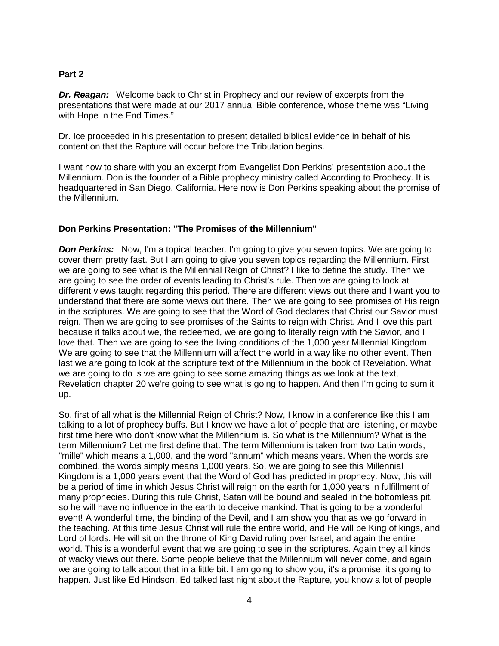#### **Part 2**

**Dr. Reagan:** Welcome back to Christ in Prophecy and our review of excerpts from the presentations that were made at our 2017 annual Bible conference, whose theme was "Living with Hope in the End Times."

Dr. Ice proceeded in his presentation to present detailed biblical evidence in behalf of his contention that the Rapture will occur before the Tribulation begins.

I want now to share with you an excerpt from Evangelist Don Perkins' presentation about the Millennium. Don is the founder of a Bible prophecy ministry called According to Prophecy. It is headquartered in San Diego, California. Here now is Don Perkins speaking about the promise of the Millennium.

## **Don Perkins Presentation: "The Promises of the Millennium"**

**Don Perkins:** Now, I'm a topical teacher. I'm going to give you seven topics. We are going to cover them pretty fast. But I am going to give you seven topics regarding the Millennium. First we are going to see what is the Millennial Reign of Christ? I like to define the study. Then we are going to see the order of events leading to Christ's rule. Then we are going to look at different views taught regarding this period. There are different views out there and I want you to understand that there are some views out there. Then we are going to see promises of His reign in the scriptures. We are going to see that the Word of God declares that Christ our Savior must reign. Then we are going to see promises of the Saints to reign with Christ. And I love this part because it talks about we, the redeemed, we are going to literally reign with the Savior, and I love that. Then we are going to see the living conditions of the 1,000 year Millennial Kingdom. We are going to see that the Millennium will affect the world in a way like no other event. Then last we are going to look at the scripture text of the Millennium in the book of Revelation. What we are going to do is we are going to see some amazing things as we look at the text, Revelation chapter 20 we're going to see what is going to happen. And then I'm going to sum it up.

So, first of all what is the Millennial Reign of Christ? Now, I know in a conference like this I am talking to a lot of prophecy buffs. But I know we have a lot of people that are listening, or maybe first time here who don't know what the Millennium is. So what is the Millennium? What is the term Millennium? Let me first define that. The term Millennium is taken from two Latin words, "mille" which means a 1,000, and the word "annum" which means years. When the words are combined, the words simply means 1,000 years. So, we are going to see this Millennial Kingdom is a 1,000 years event that the Word of God has predicted in prophecy. Now, this will be a period of time in which Jesus Christ will reign on the earth for 1,000 years in fulfillment of many prophecies. During this rule Christ, Satan will be bound and sealed in the bottomless pit, so he will have no influence in the earth to deceive mankind. That is going to be a wonderful event! A wonderful time, the binding of the Devil, and I am show you that as we go forward in the teaching. At this time Jesus Christ will rule the entire world, and He will be King of kings, and Lord of lords. He will sit on the throne of King David ruling over Israel, and again the entire world. This is a wonderful event that we are going to see in the scriptures. Again they all kinds of wacky views out there. Some people believe that the Millennium will never come, and again we are going to talk about that in a little bit. I am going to show you, it's a promise, it's going to happen. Just like Ed Hindson, Ed talked last night about the Rapture, you know a lot of people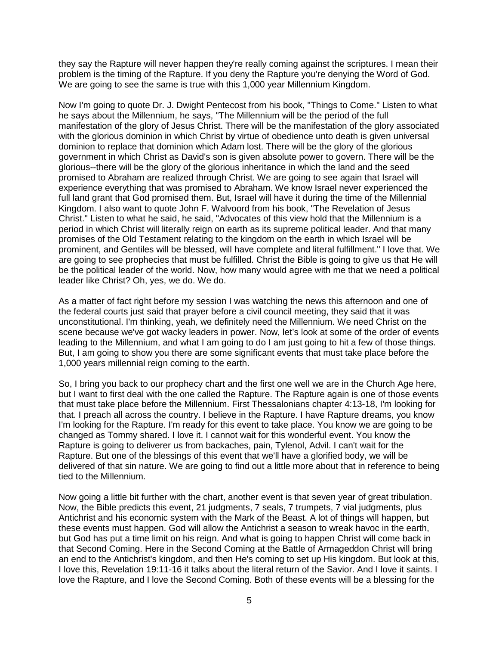they say the Rapture will never happen they're really coming against the scriptures. I mean their problem is the timing of the Rapture. If you deny the Rapture you're denying the Word of God. We are going to see the same is true with this 1,000 year Millennium Kingdom.

Now I'm going to quote Dr. J. Dwight Pentecost from his book, "Things to Come." Listen to what he says about the Millennium, he says, "The Millennium will be the period of the full manifestation of the glory of Jesus Christ. There will be the manifestation of the glory associated with the glorious dominion in which Christ by virtue of obedience unto death is given universal dominion to replace that dominion which Adam lost. There will be the glory of the glorious government in which Christ as David's son is given absolute power to govern. There will be the glorious--there will be the glory of the glorious inheritance in which the land and the seed promised to Abraham are realized through Christ. We are going to see again that Israel will experience everything that was promised to Abraham. We know Israel never experienced the full land grant that God promised them. But, Israel will have it during the time of the Millennial Kingdom. I also want to quote John F. Walvoord from his book, "The Revelation of Jesus Christ." Listen to what he said, he said, "Advocates of this view hold that the Millennium is a period in which Christ will literally reign on earth as its supreme political leader. And that many promises of the Old Testament relating to the kingdom on the earth in which Israel will be prominent, and Gentiles will be blessed, will have complete and literal fulfillment." I love that. We are going to see prophecies that must be fulfilled. Christ the Bible is going to give us that He will be the political leader of the world. Now, how many would agree with me that we need a political leader like Christ? Oh, yes, we do. We do.

As a matter of fact right before my session I was watching the news this afternoon and one of the federal courts just said that prayer before a civil council meeting, they said that it was unconstitutional. I'm thinking, yeah, we definitely need the Millennium. We need Christ on the scene because we've got wacky leaders in power. Now, let's look at some of the order of events leading to the Millennium, and what I am going to do I am just going to hit a few of those things. But, I am going to show you there are some significant events that must take place before the 1,000 years millennial reign coming to the earth.

So, I bring you back to our prophecy chart and the first one well we are in the Church Age here, but I want to first deal with the one called the Rapture. The Rapture again is one of those events that must take place before the Millennium. First Thessalonians chapter 4:13-18, I'm looking for that. I preach all across the country. I believe in the Rapture. I have Rapture dreams, you know I'm looking for the Rapture. I'm ready for this event to take place. You know we are going to be changed as Tommy shared. I love it. I cannot wait for this wonderful event. You know the Rapture is going to deliverer us from backaches, pain, Tylenol, Advil. I can't wait for the Rapture. But one of the blessings of this event that we'll have a glorified body, we will be delivered of that sin nature. We are going to find out a little more about that in reference to being tied to the Millennium.

Now going a little bit further with the chart, another event is that seven year of great tribulation. Now, the Bible predicts this event, 21 judgments, 7 seals, 7 trumpets, 7 vial judgments, plus Antichrist and his economic system with the Mark of the Beast. A lot of things will happen, but these events must happen. God will allow the Antichrist a season to wreak havoc in the earth, but God has put a time limit on his reign. And what is going to happen Christ will come back in that Second Coming. Here in the Second Coming at the Battle of Armageddon Christ will bring an end to the Antichrist's kingdom, and then He's coming to set up His kingdom. But look at this, I love this, Revelation 19:11-16 it talks about the literal return of the Savior. And I love it saints. I love the Rapture, and I love the Second Coming. Both of these events will be a blessing for the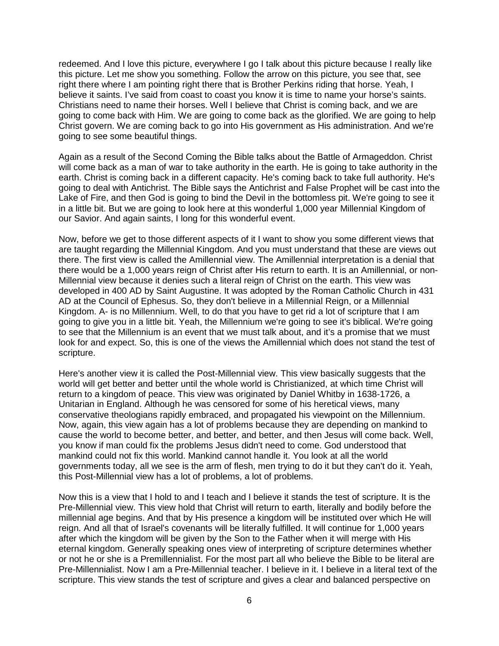redeemed. And I love this picture, everywhere I go I talk about this picture because I really like this picture. Let me show you something. Follow the arrow on this picture, you see that, see right there where I am pointing right there that is Brother Perkins riding that horse. Yeah, I believe it saints. I've said from coast to coast you know it is time to name your horse's saints. Christians need to name their horses. Well I believe that Christ is coming back, and we are going to come back with Him. We are going to come back as the glorified. We are going to help Christ govern. We are coming back to go into His government as His administration. And we're going to see some beautiful things.

Again as a result of the Second Coming the Bible talks about the Battle of Armageddon. Christ will come back as a man of war to take authority in the earth. He is going to take authority in the earth. Christ is coming back in a different capacity. He's coming back to take full authority. He's going to deal with Antichrist. The Bible says the Antichrist and False Prophet will be cast into the Lake of Fire, and then God is going to bind the Devil in the bottomless pit. We're going to see it in a little bit. But we are going to look here at this wonderful 1,000 year Millennial Kingdom of our Savior. And again saints, I long for this wonderful event.

Now, before we get to those different aspects of it I want to show you some different views that are taught regarding the Millennial Kingdom. And you must understand that these are views out there. The first view is called the Amillennial view. The Amillennial interpretation is a denial that there would be a 1,000 years reign of Christ after His return to earth. It is an Amillennial, or non-Millennial view because it denies such a literal reign of Christ on the earth. This view was developed in 400 AD by Saint Augustine. It was adopted by the Roman Catholic Church in 431 AD at the Council of Ephesus. So, they don't believe in a Millennial Reign, or a Millennial Kingdom. A- is no Millennium. Well, to do that you have to get rid a lot of scripture that I am going to give you in a little bit. Yeah, the Millennium we're going to see it's biblical. We're going to see that the Millennium is an event that we must talk about, and it's a promise that we must look for and expect. So, this is one of the views the Amillennial which does not stand the test of scripture.

Here's another view it is called the Post-Millennial view. This view basically suggests that the world will get better and better until the whole world is Christianized, at which time Christ will return to a kingdom of peace. This view was originated by Daniel Whitby in 1638-1726, a Unitarian in England. Although he was censored for some of his heretical views, many conservative theologians rapidly embraced, and propagated his viewpoint on the Millennium. Now, again, this view again has a lot of problems because they are depending on mankind to cause the world to become better, and better, and better, and then Jesus will come back. Well, you know if man could fix the problems Jesus didn't need to come. God understood that mankind could not fix this world. Mankind cannot handle it. You look at all the world governments today, all we see is the arm of flesh, men trying to do it but they can't do it. Yeah, this Post-Millennial view has a lot of problems, a lot of problems.

Now this is a view that I hold to and I teach and I believe it stands the test of scripture. It is the Pre-Millennial view. This view hold that Christ will return to earth, literally and bodily before the millennial age begins. And that by His presence a kingdom will be instituted over which He will reign. And all that of Israel's covenants will be literally fulfilled. It will continue for 1,000 years after which the kingdom will be given by the Son to the Father when it will merge with His eternal kingdom. Generally speaking ones view of interpreting of scripture determines whether or not he or she is a Premillennialist. For the most part all who believe the Bible to be literal are Pre-Millennialist. Now I am a Pre-Millennial teacher. I believe in it. I believe in a literal text of the scripture. This view stands the test of scripture and gives a clear and balanced perspective on